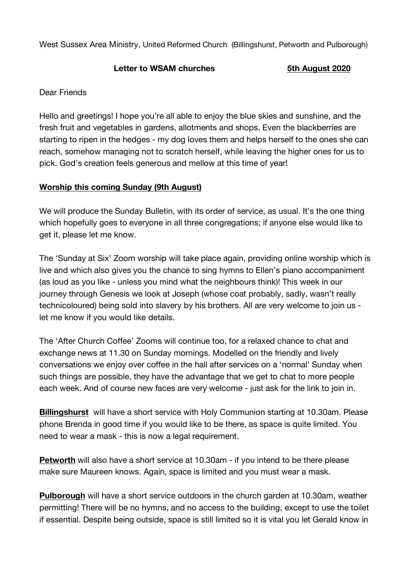West Sussex Area Ministry, United Reformed Church (Billingshurst, Petworth and Pulborough)

## **Letter to WSAM churches 5th August 2020**

## Dear Friends

Hello and greetings! I hope you're all able to enjoy the blue skies and sunshine, and the fresh fruit and vegetables in gardens, allotments and shops. Even the blackberries are starting to ripen in the hedges - my dog loves them and helps herself to the ones she can reach, somehow managing not to scratch herself, while leaving the higher ones for us to pick. God's creation feels generous and mellow at this time of year!

## **Worship this coming Sunday (9th August)**

We will produce the Sunday Bulletin, with its order of service, as usual. It's the one thing which hopefully goes to everyone in all three congregations; if anyone else would like to get it, please let me know.

The 'Sunday at Six' Zoom worship will take place again, providing online worship which is live and which also gives you the chance to sing hymns to Ellen's piano accompaniment (as loud as you like - unless you mind what the neighbours think)! This week in our journey through Genesis we look at Joseph (whose coat probably, sadly, wasn't really technicoloured) being sold into slavery by his brothers. All are very welcome to join us let me know if you would like details.

The 'After Church Coffee' Zooms will continue too, for a relaxed chance to chat and exchange news at 11.30 on Sunday mornings. Modelled on the friendly and lively conversations we enjoy over coffee in the hall after services on a 'normal' Sunday when such things are possible, they have the advantage that we get to chat to more people each week. And of course new faces are very welcome - just ask for the link to join in.

**Billingshurst** will have a short service with Holy Communion starting at 10.30am. Please phone Brenda in good time if you would like to be there, as space is quite limited. You need to wear a mask - this is now a legal requirement.

**Petworth** will also have a short service at 10.30am - if you intend to be there please make sure Maureen knows. Again, space is limited and you must wear a mask.

**Pulborough** will have a short service outdoors in the church garden at 10.30am, weather permitting! There will be no hymns, and no access to the building, except to use the toilet if essential. Despite being outside, space is still limited so it is vital you let Gerald know in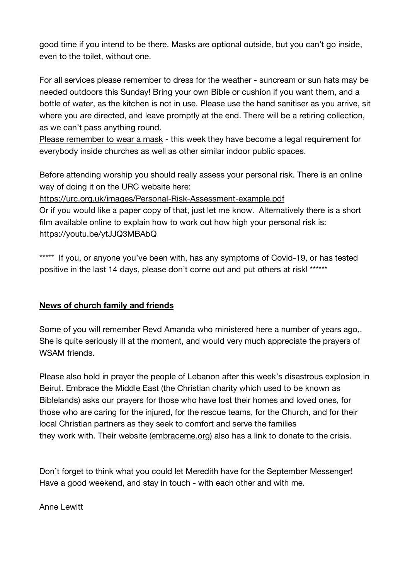good time if you intend to be there. Masks are optional outside, but you can't go inside, even to the toilet, without one.

For all services please remember to dress for the weather - suncream or sun hats may be needed outdoors this Sunday! Bring your own Bible or cushion if you want them, and a bottle of water, as the kitchen is not in use. Please use the hand sanitiser as you arrive, sit where you are directed, and leave promptly at the end. There will be a retiring collection, as we can't pass anything round.

Please remember to wear a mask - this week they have become a legal requirement for everybody inside churches as well as other similar indoor public spaces.

Before attending worship you should really assess your personal risk. There is an online way of doing it on the URC website here:

https://urc.org.uk/images/Personal-Risk-Assessment-example.pdf

Or if you would like a paper copy of that, just let me know. Alternatively there is a short film available online to explain how to work out how high your personal risk is: https://youtu.be/ytJJQ3MBAbQ

\*\*\*\*\* If you, or anyone you've been with, has any symptoms of Covid-19, or has tested positive in the last 14 days, please don't come out and put others at risk! \*\*\*\*\*\*

## **News of church family and friends**

Some of you will remember Revd Amanda who ministered here a number of years ago,. She is quite seriously ill at the moment, and would very much appreciate the prayers of WSAM friends.

Please also hold in prayer the people of Lebanon after this week's disastrous explosion in Beirut. Embrace the Middle East (the Christian charity which used to be known as Biblelands) asks our prayers for those who have lost their homes and loved ones, for those who are caring for the injured, for the rescue teams, for the Church, and for their local Christian partners as they seek to comfort and serve the families they work with. Their website (embraceme.org) also has a link to donate to the crisis.

Don't forget to think what you could let Meredith have for the September Messenger! Have a good weekend, and stay in touch - with each other and with me.

Anne Lewitt